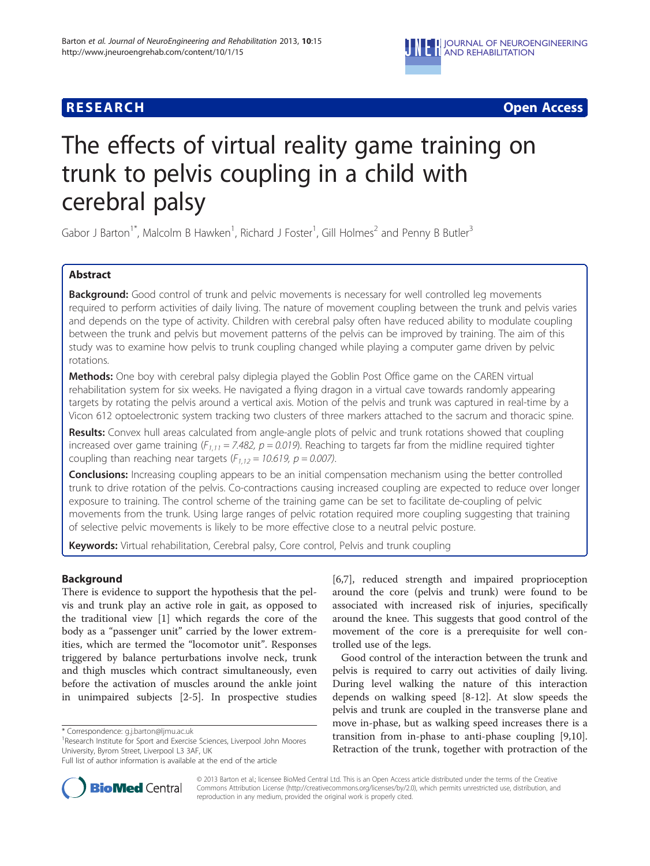

# **RESEARCH CHEAR CHEAR CHEAR CHEAR CHEAR CHEAR CHEAR CHEAR CHEAR CHEAR CHEAR CHEAR CHEAR CHEAR CHEAR CHEAR CHEAR**

# The effects of virtual reality game training on trunk to pelvis coupling in a child with cerebral palsy

Gabor J Barton<sup>1\*</sup>, Malcolm B Hawken<sup>1</sup>, Richard J Foster<sup>1</sup>, Gill Holmes<sup>2</sup> and Penny B Butler<sup>3</sup>

# Abstract

**Background:** Good control of trunk and pelvic movements is necessary for well controlled leg movements required to perform activities of daily living. The nature of movement coupling between the trunk and pelvis varies and depends on the type of activity. Children with cerebral palsy often have reduced ability to modulate coupling between the trunk and pelvis but movement patterns of the pelvis can be improved by training. The aim of this study was to examine how pelvis to trunk coupling changed while playing a computer game driven by pelvic rotations.

**Methods:** One boy with cerebral palsy diplegia played the Goblin Post Office game on the CAREN virtual rehabilitation system for six weeks. He navigated a flying dragon in a virtual cave towards randomly appearing targets by rotating the pelvis around a vertical axis. Motion of the pelvis and trunk was captured in real-time by a Vicon 612 optoelectronic system tracking two clusters of three markers attached to the sacrum and thoracic spine.

Results: Convex hull areas calculated from angle-angle plots of pelvic and trunk rotations showed that coupling increased over game training ( $F_{1,11} = 7.482$ ,  $p = 0.019$ ). Reaching to targets far from the midline required tighter coupling than reaching near targets  $(F_{1,12} = 10.619, p = 0.007)$ .

**Conclusions:** Increasing coupling appears to be an initial compensation mechanism using the better controlled trunk to drive rotation of the pelvis. Co-contractions causing increased coupling are expected to reduce over longer exposure to training. The control scheme of the training game can be set to facilitate de-coupling of pelvic movements from the trunk. Using large ranges of pelvic rotation required more coupling suggesting that training of selective pelvic movements is likely to be more effective close to a neutral pelvic posture.

Keywords: Virtual rehabilitation, Cerebral palsy, Core control, Pelvis and trunk coupling

# Background

There is evidence to support the hypothesis that the pelvis and trunk play an active role in gait, as opposed to the traditional view [[1\]](#page-4-0) which regards the core of the body as a "passenger unit" carried by the lower extremities, which are termed the "locomotor unit". Responses triggered by balance perturbations involve neck, trunk and thigh muscles which contract simultaneously, even before the activation of muscles around the ankle joint in unimpaired subjects [[2-5](#page-4-0)]. In prospective studies

\* Correspondence: [g.j.barton@ljmu.ac.uk](mailto:g.j.barton@ljmu.ac.uk) <sup>1</sup>

<sup>1</sup>Research Institute for Sport and Exercise Sciences, Liverpool John Moores University, Byrom Street, Liverpool L3 3AF, UK

[[6,7\]](#page-4-0), reduced strength and impaired proprioception around the core (pelvis and trunk) were found to be associated with increased risk of injuries, specifically around the knee. This suggests that good control of the movement of the core is a prerequisite for well controlled use of the legs.

Good control of the interaction between the trunk and pelvis is required to carry out activities of daily living. During level walking the nature of this interaction depends on walking speed [[8-12\]](#page-4-0). At slow speeds the pelvis and trunk are coupled in the transverse plane and move in-phase, but as walking speed increases there is a transition from in-phase to anti-phase coupling [\[9,10](#page-4-0)]. Retraction of the trunk, together with protraction of the



© 2013 Barton et al.; licensee BioMed Central Ltd. This is an Open Access article distributed under the terms of the Creative Commons Attribution License [\(http://creativecommons.org/licenses/by/2.0\)](http://creativecommons.org/licenses/by/2.0), which permits unrestricted use, distribution, and reproduction in any medium, provided the original work is properly cited.

Full list of author information is available at the end of the article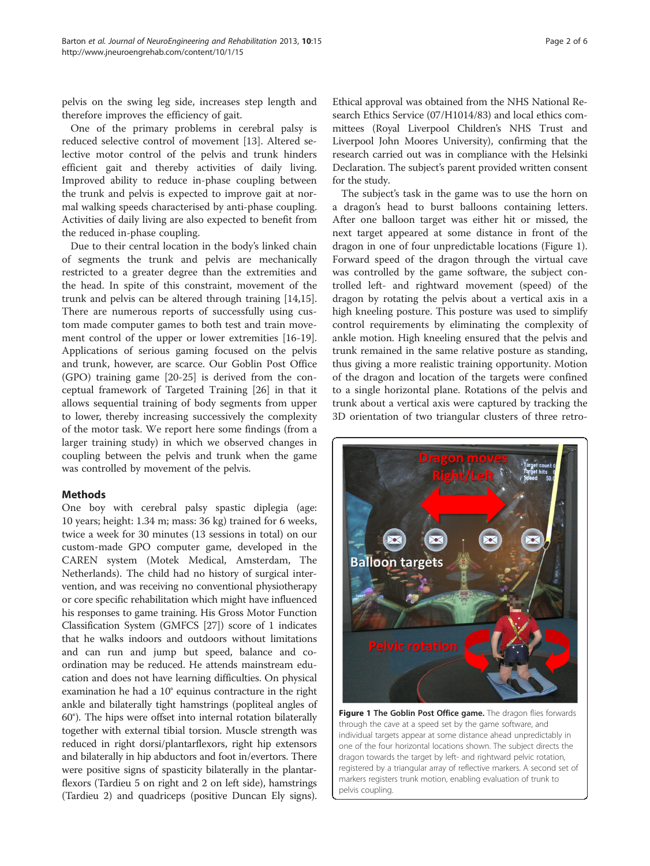<span id="page-1-0"></span>pelvis on the swing leg side, increases step length and therefore improves the efficiency of gait.

One of the primary problems in cerebral palsy is reduced selective control of movement [[13\]](#page-4-0). Altered selective motor control of the pelvis and trunk hinders efficient gait and thereby activities of daily living. Improved ability to reduce in-phase coupling between the trunk and pelvis is expected to improve gait at normal walking speeds characterised by anti-phase coupling. Activities of daily living are also expected to benefit from the reduced in-phase coupling.

Due to their central location in the body's linked chain of segments the trunk and pelvis are mechanically restricted to a greater degree than the extremities and the head. In spite of this constraint, movement of the trunk and pelvis can be altered through training [\[14,15](#page-4-0)]. There are numerous reports of successfully using custom made computer games to both test and train movement control of the upper or lower extremities [\[16-19](#page-4-0)]. Applications of serious gaming focused on the pelvis and trunk, however, are scarce. Our Goblin Post Office (GPO) training game [[20-25](#page-4-0)] is derived from the conceptual framework of Targeted Training [\[26](#page-4-0)] in that it allows sequential training of body segments from upper to lower, thereby increasing successively the complexity of the motor task. We report here some findings (from a larger training study) in which we observed changes in coupling between the pelvis and trunk when the game was controlled by movement of the pelvis.

# **Methods**

One boy with cerebral palsy spastic diplegia (age: 10 years; height: 1.34 m; mass: 36 kg) trained for 6 weeks, twice a week for 30 minutes (13 sessions in total) on our custom-made GPO computer game, developed in the CAREN system (Motek Medical, Amsterdam, The Netherlands). The child had no history of surgical intervention, and was receiving no conventional physiotherapy or core specific rehabilitation which might have influenced his responses to game training. His Gross Motor Function Classification System (GMFCS [\[27](#page-4-0)]) score of 1 indicates that he walks indoors and outdoors without limitations and can run and jump but speed, balance and coordination may be reduced. He attends mainstream education and does not have learning difficulties. On physical examination he had a 10° equinus contracture in the right ankle and bilaterally tight hamstrings (popliteal angles of 60°). The hips were offset into internal rotation bilaterally together with external tibial torsion. Muscle strength was reduced in right dorsi/plantarflexors, right hip extensors and bilaterally in hip abductors and foot in/evertors. There were positive signs of spasticity bilaterally in the plantarflexors (Tardieu 5 on right and 2 on left side), hamstrings (Tardieu 2) and quadriceps (positive Duncan Ely signs).

Ethical approval was obtained from the NHS National Research Ethics Service (07/H1014/83) and local ethics committees (Royal Liverpool Children's NHS Trust and Liverpool John Moores University), confirming that the research carried out was in compliance with the Helsinki Declaration. The subject's parent provided written consent for the study.

The subject's task in the game was to use the horn on a dragon's head to burst balloons containing letters. After one balloon target was either hit or missed, the next target appeared at some distance in front of the dragon in one of four unpredictable locations (Figure 1). Forward speed of the dragon through the virtual cave was controlled by the game software, the subject controlled left- and rightward movement (speed) of the dragon by rotating the pelvis about a vertical axis in a high kneeling posture. This posture was used to simplify control requirements by eliminating the complexity of ankle motion. High kneeling ensured that the pelvis and trunk remained in the same relative posture as standing, thus giving a more realistic training opportunity. Motion of the dragon and location of the targets were confined to a single horizontal plane. Rotations of the pelvis and trunk about a vertical axis were captured by tracking the 3D orientation of two triangular clusters of three retro-



Figure 1 The Goblin Post Office game. The dragon flies forwards through the cave at a speed set by the game software, and individual targets appear at some distance ahead unpredictably in one of the four horizontal locations shown. The subject directs the dragon towards the target by left- and rightward pelvic rotation, registered by a triangular array of reflective markers. A second set of markers registers trunk motion, enabling evaluation of trunk to pelvis coupling.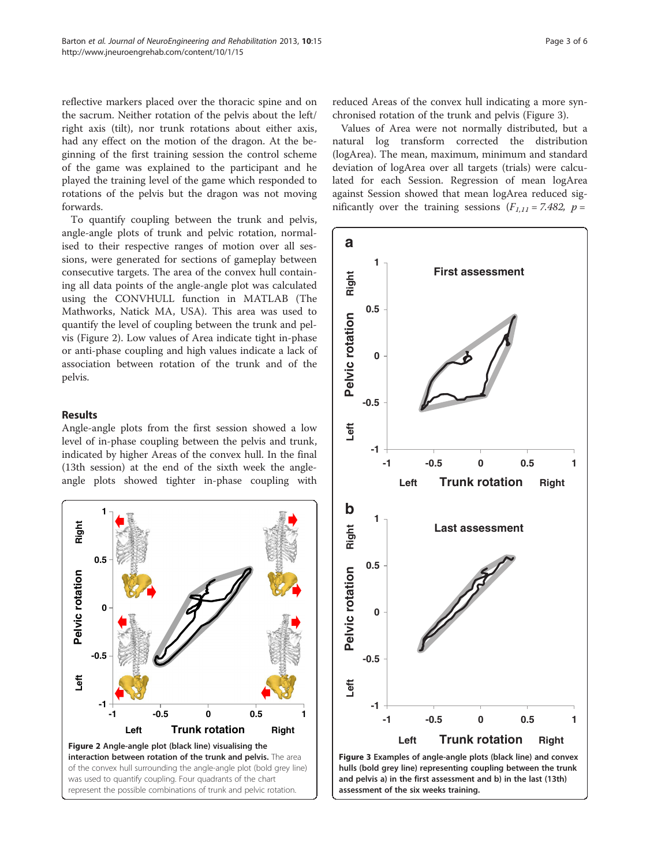reflective markers placed over the thoracic spine and on the sacrum. Neither rotation of the pelvis about the left/ right axis (tilt), nor trunk rotations about either axis, had any effect on the motion of the dragon. At the beginning of the first training session the control scheme of the game was explained to the participant and he played the training level of the game which responded to rotations of the pelvis but the dragon was not moving forwards.

To quantify coupling between the trunk and pelvis, angle-angle plots of trunk and pelvic rotation, normalised to their respective ranges of motion over all sessions, were generated for sections of gameplay between consecutive targets. The area of the convex hull containing all data points of the angle-angle plot was calculated using the CONVHULL function in MATLAB (The Mathworks, Natick MA, USA). This area was used to quantify the level of coupling between the trunk and pelvis (Figure 2). Low values of Area indicate tight in-phase or anti-phase coupling and high values indicate a lack of association between rotation of the trunk and of the pelvis.

## Results

Angle-angle plots from the first session showed a low level of in-phase coupling between the pelvis and trunk, indicated by higher Areas of the convex hull. In the final (13th session) at the end of the sixth week the angleangle plots showed tighter in-phase coupling with



reduced Areas of the convex hull indicating a more synchronised rotation of the trunk and pelvis (Figure 3).

Values of Area were not normally distributed, but a natural log transform corrected the distribution (logArea). The mean, maximum, minimum and standard deviation of logArea over all targets (trials) were calculated for each Session. Regression of mean logArea against Session showed that mean logArea reduced significantly over the training sessions  $(F_{1,11} = 7.482, p =$ 

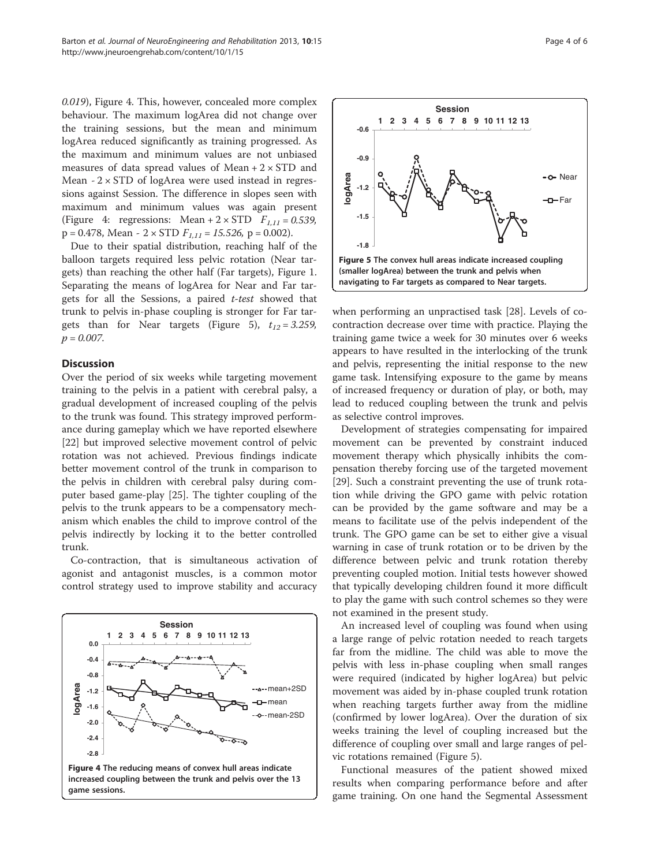0.019), Figure 4. This, however, concealed more complex behaviour. The maximum logArea did not change over the training sessions, but the mean and minimum logArea reduced significantly as training progressed. As the maximum and minimum values are not unbiased measures of data spread values of Mean  $+ 2 \times$  STD and Mean  $-2 \times$  STD of logArea were used instead in regressions against Session. The difference in slopes seen with maximum and minimum values was again present (Figure 4: regressions: Mean +  $2 \times STD$   $F_{1,11} = 0.539$ ,  $p = 0.478$ , Mean - 2 × STD  $F_{1,11} = 15.526$ ,  $p = 0.002$ ).

Due to their spatial distribution, reaching half of the balloon targets required less pelvic rotation (Near targets) than reaching the other half (Far targets), Figure [1](#page-1-0). Separating the means of logArea for Near and Far targets for all the Sessions, a paired t-test showed that trunk to pelvis in-phase coupling is stronger for Far targets than for Near targets (Figure 5),  $t_{12} = 3.259$ ,  $p = 0.007$ .

## **Discussion**

Over the period of six weeks while targeting movement training to the pelvis in a patient with cerebral palsy, a gradual development of increased coupling of the pelvis to the trunk was found. This strategy improved performance during gameplay which we have reported elsewhere [[22\]](#page-4-0) but improved selective movement control of pelvic rotation was not achieved. Previous findings indicate better movement control of the trunk in comparison to the pelvis in children with cerebral palsy during computer based game-play [[25](#page-4-0)]. The tighter coupling of the pelvis to the trunk appears to be a compensatory mechanism which enables the child to improve control of the pelvis indirectly by locking it to the better controlled trunk.

Co-contraction, that is simultaneous activation of agonist and antagonist muscles, is a common motor control strategy used to improve stability and accuracy





when performing an unpractised task [[28\]](#page-5-0). Levels of cocontraction decrease over time with practice. Playing the training game twice a week for 30 minutes over 6 weeks appears to have resulted in the interlocking of the trunk and pelvis, representing the initial response to the new game task. Intensifying exposure to the game by means of increased frequency or duration of play, or both, may lead to reduced coupling between the trunk and pelvis as selective control improves.

Development of strategies compensating for impaired movement can be prevented by constraint induced movement therapy which physically inhibits the compensation thereby forcing use of the targeted movement [[29\]](#page-5-0). Such a constraint preventing the use of trunk rotation while driving the GPO game with pelvic rotation can be provided by the game software and may be a means to facilitate use of the pelvis independent of the trunk. The GPO game can be set to either give a visual warning in case of trunk rotation or to be driven by the difference between pelvic and trunk rotation thereby preventing coupled motion. Initial tests however showed that typically developing children found it more difficult to play the game with such control schemes so they were not examined in the present study.

An increased level of coupling was found when using a large range of pelvic rotation needed to reach targets far from the midline. The child was able to move the pelvis with less in-phase coupling when small ranges were required (indicated by higher logArea) but pelvic movement was aided by in-phase coupled trunk rotation when reaching targets further away from the midline (confirmed by lower logArea). Over the duration of six weeks training the level of coupling increased but the difference of coupling over small and large ranges of pelvic rotations remained (Figure 5).

Functional measures of the patient showed mixed results when comparing performance before and after game training. On one hand the Segmental Assessment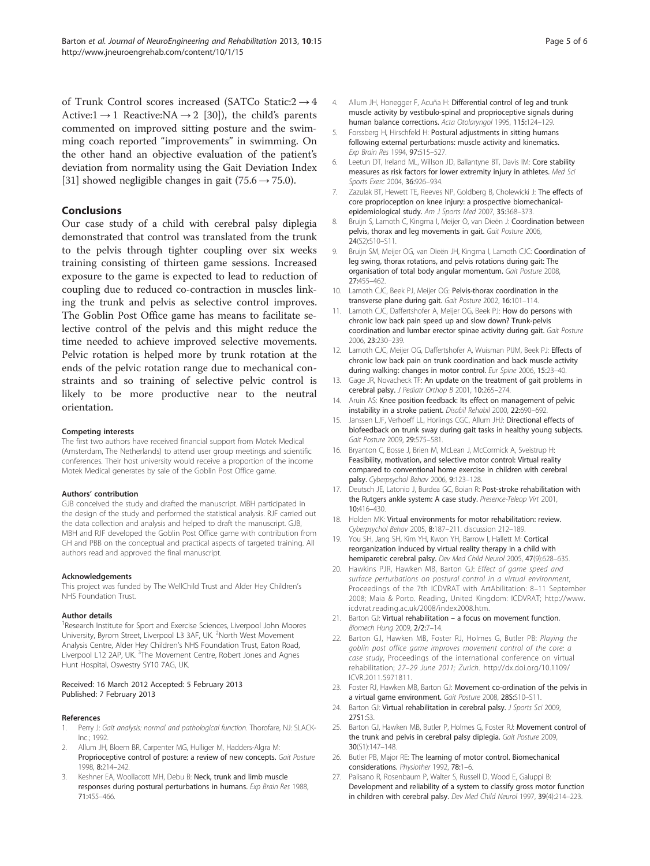<span id="page-4-0"></span>of Trunk Control scores increased (SATCo Static: $2 \rightarrow 4$ Active: $1 \rightarrow 1$  Reactive: $NA \rightarrow 2$  [[30\]](#page-5-0)), the child's parents commented on improved sitting posture and the swimming coach reported "improvements" in swimming. On the other hand an objective evaluation of the patient's deviation from normality using the Gait Deviation Index [[31\]](#page-5-0) showed negligible changes in gait (75.6  $\rightarrow$  75.0).

# Conclusions

Our case study of a child with cerebral palsy diplegia demonstrated that control was translated from the trunk to the pelvis through tighter coupling over six weeks training consisting of thirteen game sessions. Increased exposure to the game is expected to lead to reduction of coupling due to reduced co-contraction in muscles linking the trunk and pelvis as selective control improves. The Goblin Post Office game has means to facilitate selective control of the pelvis and this might reduce the time needed to achieve improved selective movements. Pelvic rotation is helped more by trunk rotation at the ends of the pelvic rotation range due to mechanical constraints and so training of selective pelvic control is likely to be more productive near to the neutral orientation.

#### Competing interests

The first two authors have received financial support from Motek Medical (Amsterdam, The Netherlands) to attend user group meetings and scientific conferences. Their host university would receive a proportion of the income Motek Medical generates by sale of the Goblin Post Office game.

#### Authors' contribution

GJB conceived the study and drafted the manuscript. MBH participated in the design of the study and performed the statistical analysis. RJF carried out the data collection and analysis and helped to draft the manuscript. GJB, MBH and RJF developed the Goblin Post Office game with contribution from GH and PBB on the conceptual and practical aspects of targeted training. All authors read and approved the final manuscript.

#### Acknowledgements

This project was funded by The WellChild Trust and Alder Hey Children's NHS Foundation Trust.

#### Author details

<sup>1</sup>Research Institute for Sport and Exercise Sciences, Liverpool John Moores University, Byrom Street, Liverpool L3 3AF, UK. <sup>2</sup>North West Movement Analysis Centre, Alder Hey Children's NHS Foundation Trust, Eaton Road, Liverpool L12 2AP, UK. <sup>3</sup>The Movement Centre, Robert Jones and Agnes Hunt Hospital, Oswestry SY10 7AG, UK.

#### Received: 16 March 2012 Accepted: 5 February 2013 Published: 7 February 2013

#### References

- 1. Perry J: Gait analysis: normal and pathological function. Thorofare, NJ: SLACK-Inc.; 1992.
- 2. Allum JH, Bloem BR, Carpenter MG, Hulliger M, Hadders-Algra M: Proprioceptive control of posture: a review of new concepts. Gait Posture 1998, 8:214–242.
- 3. Keshner EA, Woollacott MH, Debu B: Neck, trunk and limb muscle responses during postural perturbations in humans. Exp Brain Res 1988, 71:455–466.
- 4. Allum JH, Honegger F, Acuña H: Differential control of leg and trunk muscle activity by vestibulo-spinal and proprioceptive signals during human balance corrections. Acta Otolaryngol 1995, 115:124–129.
- 5. Forssberg H, Hirschfeld H: Postural adjustments in sitting humans following external perturbations: muscle activity and kinematics. Exp Brain Res 1994, 97:515–527.
- 6. Leetun DT, Ireland ML, Willson JD, Ballantyne BT, Davis IM: Core stability measures as risk factors for lower extremity injury in athletes. Med Sci Sports Exerc 2004, 36:926–934.
- 7. Zazulak BT, Hewett TE, Reeves NP, Goldberg B, Cholewicki J: The effects of core proprioception on knee injury: a prospective biomechanicalepidemiological study. Am J Sports Med 2007, 35:368–373.
- 8. Bruijn S, Lamoth C, Kingma I, Meijer O, van Dieën J: Coordination between pelvis, thorax and leg movements in gait. Gait Posture 2006, 24(S2):S10–S11.
- 9. Bruijn SM, Meijer OG, van Dieën JH, Kingma I, Lamoth CJC: Coordination of leg swing, thorax rotations, and pelvis rotations during gait: The organisation of total body angular momentum. Gait Posture 2008, 27:455–462.
- 10. Lamoth CJC, Beek PJ, Meijer OG: Pelvis-thorax coordination in the transverse plane during gait. Gait Posture 2002, 16:101–114.
- 11. Lamoth CJC, Daffertshofer A, Meijer OG, Beek PJ: How do persons with chronic low back pain speed up and slow down? Trunk-pelvis coordination and lumbar erector spinae activity during gait. Gait Posture 2006, 23:230–239.
- 12. Lamoth CJC, Meijer OG, Daffertshofer A, Wuisman PIJM, Beek PJ: Effects of chronic low back pain on trunk coordination and back muscle activity during walking: changes in motor control. Fur Spine 2006, 15:23-40.
- 13. Gage JR, Novacheck TF: An update on the treatment of gait problems in cerebral palsy. J Pediatr Orthop B 2001, 10:265–274.
- 14. Aruin AS: Knee position feedback: Its effect on management of pelvic instability in a stroke patient. Disabil Rehabil 2000, 22:690–692.
- 15. Janssen LJF, Verhoeff LL, Horlings CGC, Allum JHJ: Directional effects of biofeedback on trunk sway during gait tasks in healthy young subjects. Gait Posture 2009, 29:575–581.
- 16. Bryanton C, Bosse J, Brien M, McLean J, McCormick A, Sveistrup H: Feasibility, motivation, and selective motor control: Virtual reality compared to conventional home exercise in children with cerebral palsy. Cyberpsychol Behav 2006, 9:123–128.
- 17. Deutsch JE, Latonio J, Burdea GC, Boian R: Post-stroke rehabilitation with the Rutgers ankle system: A case study. Presence-Teleop Virt 2001, 10:416–430.
- 18. Holden MK: Virtual environments for motor rehabilitation: review. Cyberpsychol Behav 2005, 8:187–211. discussion 212–189.
- 19. You SH, Jang SH, Kim YH, Kwon YH, Barrow I, Hallett M: Cortical reorganization induced by virtual reality therapy in a child with hemiparetic cerebral palsy. Dev Med Child Neurol 2005, 47(9):628-635.
- 20. Hawkins PJR, Hawken MB, Barton GJ: Effect of game speed and surface perturbations on postural control in a virtual environment, Proceedings of the 7th ICDVRAT with ArtAbilitation: 8–11 September 2008; Maia & Porto. Reading, United Kingdom: ICDVRAT; [http://www.](http://www.icdvrat.reading.ac.uk/2008/index2008.htm) [icdvrat.reading.ac.uk/2008/index2008.htm.](http://www.icdvrat.reading.ac.uk/2008/index2008.htm)
- 21. Barton GJ: Virtual rehabilitation a focus on movement function. Biomech Hung 2009, 2/2:7–14.
- 22. Barton GJ, Hawken MB, Foster RJ, Holmes G, Butler PB: Playing the goblin post office game improves movement control of the core: a case study, Proceedings of the international conference on virtual rehabilitation; 27–29 June 2011; Zurich. [http://dx.doi.org/10.1109/](http://dx.doi.org/10.1109/ICVR.2011.5971811) [ICVR.2011.5971811](http://dx.doi.org/10.1109/ICVR.2011.5971811).
- 23. Foster RJ, Hawken MB, Barton GJ: Movement co-ordination of the pelvis in a virtual game environment. Gait Posture 2008, 28S:S10–S11.
- 24. Barton GJ: Virtual rehabilitation in cerebral palsy. J Sports Sci 2009, 27S1:S3.
- 25. Barton GJ, Hawken MB, Butler P, Holmes G, Foster RJ: Movement control of the trunk and pelvis in cerebral palsy diplegia. Gait Posture 2009, 30(S1):147–148.
- 26. Butler PB, Major RE: The learning of motor control. Biomechanical considerations. Physiother 1992, 78:1-6.
- 27. Palisano R, Rosenbaum P, Walter S, Russell D, Wood E, Galuppi B: Development and reliability of a system to classify gross motor function in children with cerebral palsy. Dev Med Child Neurol 1997, 39(4):214–223.